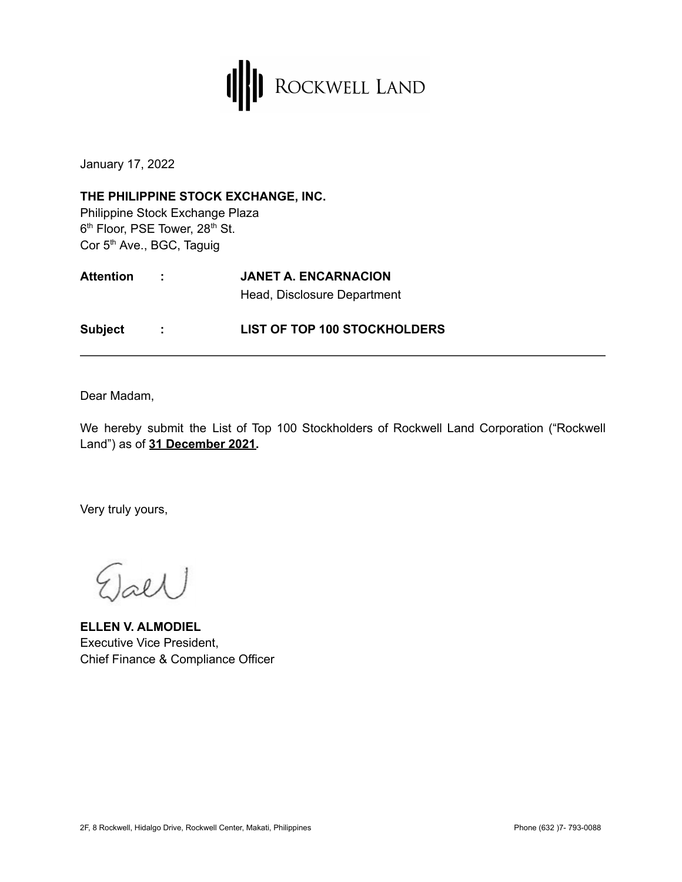

January 17, 2022

**THE PHILIPPINE STOCK EXCHANGE, INC.** Philippine Stock Exchange Plaza 6<sup>th</sup> Floor, PSE Tower, 28<sup>th</sup> St. Cor 5<sup>th</sup> Ave., BGC, Taguig

| <b>Attention</b> | <b>JANET A. ENCARNACION</b> |  |
|------------------|-----------------------------|--|
|                  | Head, Disclosure Department |  |
|                  |                             |  |

**Subject : LIST OF TOP 100 STOCKHOLDERS**

Dear Madam,

We hereby submit the List of Top 100 Stockholders of Rockwell Land Corporation ("Rockwell Land") as of **31 December 2021.**

Very truly yours,

 $2l\lambda$ 

**ELLEN V. ALMODIEL** Executive Vice President, Chief Finance & Compliance Officer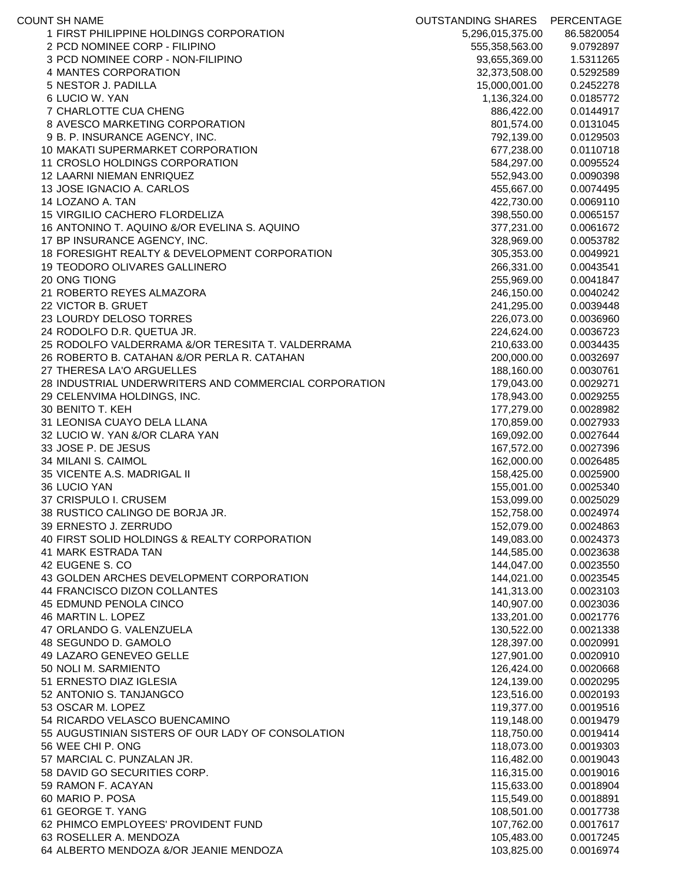| <b>COUNT SH NAME</b>                                  | <b>OUTSTANDING SHARES</b> | PERCENTAGE             |
|-------------------------------------------------------|---------------------------|------------------------|
| 1 FIRST PHILIPPINE HOLDINGS CORPORATION               | 5,296,015,375.00          | 86.5820054             |
| 2 PCD NOMINEE CORP - FILIPINO                         | 555,358,563.00            | 9.0792897              |
| 3 PCD NOMINEE CORP - NON-FILIPINO                     | 93,655,369.00             | 1.5311265              |
| 4 MANTES CORPORATION                                  | 32,373,508.00             | 0.5292589              |
| 5 NESTOR J. PADILLA                                   | 15,000,001.00             | 0.2452278              |
| 6 LUCIO W. YAN                                        | 1,136,324.00              | 0.0185772              |
| 7 CHARLOTTE CUA CHENG                                 | 886,422.00                | 0.0144917              |
| 8 AVESCO MARKETING CORPORATION                        | 801,574.00                | 0.0131045              |
| 9 B. P. INSURANCE AGENCY, INC.                        | 792,139.00                | 0.0129503              |
| 10 MAKATI SUPERMARKET CORPORATION                     | 677,238.00                | 0.0110718              |
| 11 CROSLO HOLDINGS CORPORATION                        | 584,297.00                | 0.0095524              |
| <b>12 LAARNI NIEMAN ENRIQUEZ</b>                      | 552,943.00                | 0.0090398              |
| 13 JOSE IGNACIO A. CARLOS                             | 455,667.00                | 0.0074495              |
| 14 LOZANO A. TAN                                      | 422,730.00                | 0.0069110              |
| 15 VIRGILIO CACHERO FLORDELIZA                        | 398,550.00                | 0.0065157              |
| 16 ANTONINO T. AQUINO &/OR EVELINA S. AQUINO          | 377,231.00                | 0.0061672              |
| 17 BP INSURANCE AGENCY, INC.                          | 328,969.00                | 0.0053782              |
| 18 FORESIGHT REALTY & DEVELOPMENT CORPORATION         | 305,353.00                | 0.0049921              |
| <b>19 TEODORO OLIVARES GALLINERO</b>                  | 266,331.00                | 0.0043541              |
| 20 ONG TIONG<br>21 ROBERTO REYES ALMAZORA             | 255,969.00                | 0.0041847              |
|                                                       | 246,150.00                | 0.0040242              |
| 22 VICTOR B. GRUET<br>23 LOURDY DELOSO TORRES         | 241,295.00<br>226,073.00  | 0.0039448<br>0.0036960 |
| 24 RODOLFO D.R. QUETUA JR.                            | 224,624.00                | 0.0036723              |
| 25 RODOLFO VALDERRAMA &/OR TERESITA T. VALDERRAMA     | 210,633.00                | 0.0034435              |
| 26 ROBERTO B. CATAHAN &/OR PERLA R. CATAHAN           | 200,000.00                | 0.0032697              |
| 27 THERESA LA'O ARGUELLES                             | 188,160.00                | 0.0030761              |
| 28 INDUSTRIAL UNDERWRITERS AND COMMERCIAL CORPORATION | 179,043.00                | 0.0029271              |
| 29 CELENVIMA HOLDINGS, INC.                           | 178,943.00                | 0.0029255              |
| 30 BENITO T. KEH                                      | 177,279.00                | 0.0028982              |
| 31 LEONISA CUAYO DELA LLANA                           | 170,859.00                | 0.0027933              |
| 32 LUCIO W. YAN &/OR CLARA YAN                        | 169,092.00                | 0.0027644              |
| 33 JOSE P. DE JESUS                                   | 167,572.00                | 0.0027396              |
| 34 MILANI S. CAIMOL                                   | 162,000.00                | 0.0026485              |
| 35 VICENTE A.S. MADRIGAL II                           | 158,425.00                | 0.0025900              |
| 36 LUCIO YAN                                          | 155,001.00                | 0.0025340              |
| 37 CRISPULO I. CRUSEM                                 | 153,099.00                | 0.0025029              |
| 38 RUSTICO CALINGO DE BORJA JR.                       | 152,758.00                | 0.0024974              |
| 39 ERNESTO J. ZERRUDO                                 | 152,079.00                | 0.0024863              |
| 40 FIRST SOLID HOLDINGS & REALTY CORPORATION          | 149,083.00                | 0.0024373              |
| 41 MARK ESTRADA TAN                                   | 144,585.00                | 0.0023638              |
| 42 EUGENE S. CO                                       | 144,047.00                | 0.0023550              |
| 43 GOLDEN ARCHES DEVELOPMENT CORPORATION              | 144,021.00                | 0.0023545              |
| 44 FRANCISCO DIZON COLLANTES                          | 141,313.00                | 0.0023103              |
| <b>45 EDMUND PENOLA CINCO</b>                         | 140,907.00                | 0.0023036              |
| 46 MARTIN L. LOPEZ                                    | 133,201.00                | 0.0021776              |
| 47 ORLANDO G. VALENZUELA                              | 130,522.00                | 0.0021338              |
| 48 SEGUNDO D. GAMOLO                                  | 128,397.00                | 0.0020991              |
| 49 LAZARO GENEVEO GELLE                               | 127,901.00                | 0.0020910              |
| 50 NOLI M. SARMIENTO                                  | 126,424.00                | 0.0020668              |
| 51 ERNESTO DIAZ IGLESIA                               | 124,139.00                | 0.0020295              |
| 52 ANTONIO S. TANJANGCO                               | 123,516.00                | 0.0020193              |
| 53 OSCAR M. LOPEZ                                     | 119,377.00                | 0.0019516              |
| 54 RICARDO VELASCO BUENCAMINO                         | 119,148.00                | 0.0019479              |
| 55 AUGUSTINIAN SISTERS OF OUR LADY OF CONSOLATION     | 118,750.00                | 0.0019414              |
| 56 WEE CHI P. ONG                                     | 118,073.00                | 0.0019303              |
| 57 MARCIAL C. PUNZALAN JR.                            | 116,482.00                | 0.0019043              |
| 58 DAVID GO SECURITIES CORP.                          | 116,315.00                | 0.0019016              |
| 59 RAMON F. ACAYAN                                    | 115,633.00                | 0.0018904              |
| 60 MARIO P. POSA                                      | 115,549.00                | 0.0018891              |
| 61 GEORGE T. YANG                                     | 108,501.00                | 0.0017738              |
| 62 PHIMCO EMPLOYEES' PROVIDENT FUND                   | 107,762.00                | 0.0017617              |
| 63 ROSELLER A. MENDOZA                                | 105,483.00                | 0.0017245              |
| 64 ALBERTO MENDOZA &/OR JEANIE MENDOZA                | 103,825.00                | 0.0016974              |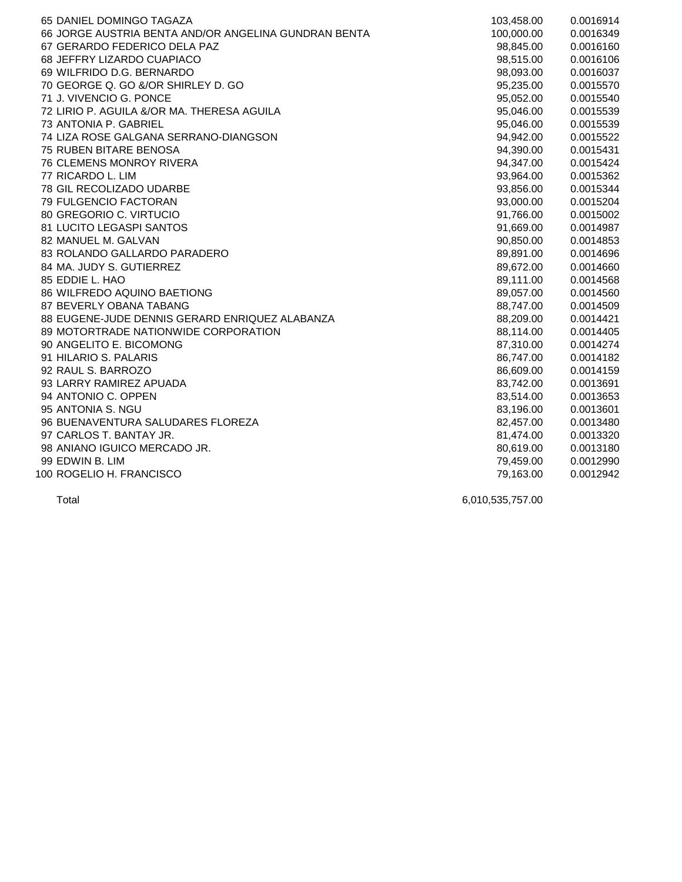| 65 DANIEL DOMINGO TAGAZA                             | 103,458.00 | 0.0016914 |
|------------------------------------------------------|------------|-----------|
| 66 JORGE AUSTRIA BENTA AND/OR ANGELINA GUNDRAN BENTA | 100,000.00 | 0.0016349 |
| 67 GERARDO FEDERICO DELA PAZ                         | 98,845.00  | 0.0016160 |
| 68 JEFFRY LIZARDO CUAPIACO                           | 98,515.00  | 0.0016106 |
| 69 WILFRIDO D.G. BERNARDO                            | 98,093.00  | 0.0016037 |
| 70 GEORGE Q. GO &/OR SHIRLEY D. GO                   | 95,235.00  | 0.0015570 |
| 71 J. VIVENCIO G. PONCE                              | 95,052.00  | 0.0015540 |
| 72 LIRIO P. AGUILA &/OR MA. THERESA AGUILA           | 95,046.00  | 0.0015539 |
| 73 ANTONIA P. GABRIEL                                | 95,046.00  | 0.0015539 |
| 74 LIZA ROSE GALGANA SERRANO-DIANGSON                | 94,942.00  | 0.0015522 |
| <b>75 RUBEN BITARE BENOSA</b>                        | 94,390.00  | 0.0015431 |
| <b>76 CLEMENS MONROY RIVERA</b>                      | 94,347.00  | 0.0015424 |
| 77 RICARDO L. LIM                                    | 93,964.00  | 0.0015362 |
| 78 GIL RECOLIZADO UDARBE                             | 93,856.00  | 0.0015344 |
| 79 FULGENCIO FACTORAN                                | 93,000.00  | 0.0015204 |
| 80 GREGORIO C. VIRTUCIO                              | 91,766.00  | 0.0015002 |
| 81 LUCITO LEGASPI SANTOS                             | 91,669.00  | 0.0014987 |
| 82 MANUEL M. GALVAN                                  | 90,850.00  | 0.0014853 |
| 83 ROLANDO GALLARDO PARADERO                         | 89,891.00  | 0.0014696 |
| 84 MA. JUDY S. GUTIERREZ                             | 89,672.00  | 0.0014660 |
| 85 EDDIE L. HAO                                      | 89,111.00  | 0.0014568 |
| 86 WILFREDO AQUINO BAETIONG                          | 89,057.00  | 0.0014560 |
| 87 BEVERLY OBANA TABANG                              | 88,747.00  | 0.0014509 |
| 88 EUGENE-JUDE DENNIS GERARD ENRIQUEZ ALABANZA       | 88,209.00  | 0.0014421 |
| 89 MOTORTRADE NATIONWIDE CORPORATION                 | 88,114.00  | 0.0014405 |
| 90 ANGELITO E. BICOMONG                              | 87,310.00  | 0.0014274 |
| 91 HILARIO S. PALARIS                                | 86,747.00  | 0.0014182 |
| 92 RAUL S. BARROZO                                   | 86,609.00  | 0.0014159 |
| 93 LARRY RAMIREZ APUADA                              | 83,742.00  | 0.0013691 |
| 94 ANTONIO C. OPPEN                                  | 83,514.00  | 0.0013653 |
| 95 ANTONIA S. NGU                                    | 83,196.00  | 0.0013601 |
| 96 BUENAVENTURA SALUDARES FLOREZA                    | 82,457.00  | 0.0013480 |
| 97 CARLOS T. BANTAY JR.                              | 81,474.00  | 0.0013320 |
| 98 ANIANO IGUICO MERCADO JR.                         | 80,619.00  | 0.0013180 |
| 99 EDWIN B. LIM                                      | 79,459.00  | 0.0012990 |
| 100 ROGELIO H. FRANCISCO                             | 79,163.00  | 0.0012942 |
|                                                      |            |           |

Total 6,010,535,757.00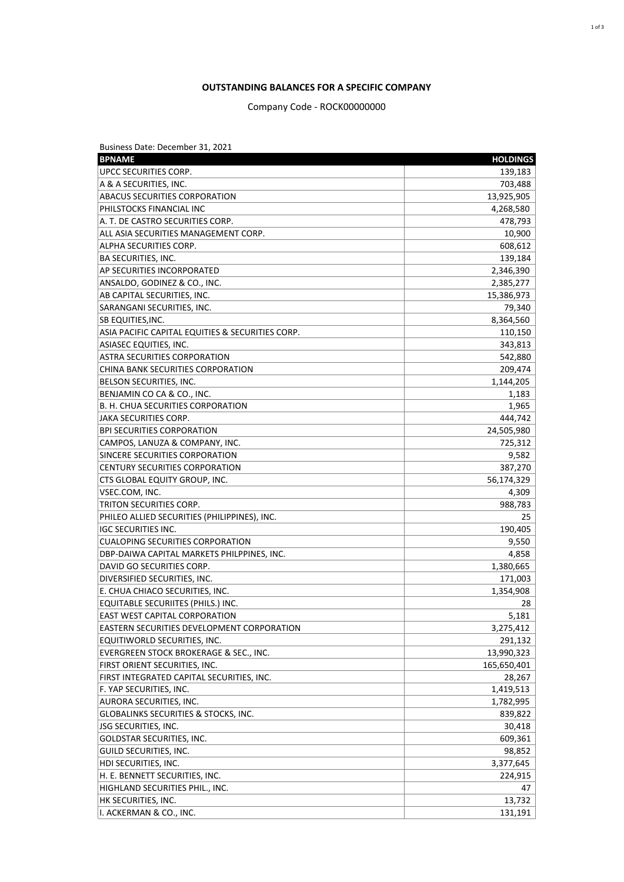## **OUTSTANDING BALANCES FOR A SPECIFIC COMPANY**

## Company Code - ROCK00000000

| Business Date: December 31, 2021                  |                 |
|---------------------------------------------------|-----------------|
| <b>BPNAME</b>                                     | <b>HOLDINGS</b> |
| <b>UPCC SECURITIES CORP.</b>                      | 139,183         |
| A & A SECURITIES, INC.                            | 703,488         |
| <b>ABACUS SECURITIES CORPORATION</b>              | 13,925,905      |
| <b>PHILSTOCKS FINANCIAL INC</b>                   | 4,268,580       |
| A. T. DE CASTRO SECURITIES CORP.                  | 478,793         |
| ALL ASIA SECURITIES MANAGEMENT CORP.              | 10,900          |
| ALPHA SECURITIES CORP.                            | 608,612         |
| BA SECURITIES, INC.                               | 139,184         |
| AP SECURITIES INCORPORATED                        | 2,346,390       |
| ANSALDO, GODINEZ & CO., INC.                      | 2,385,277       |
| AB CAPITAL SECURITIES, INC.                       | 15,386,973      |
| SARANGANI SECURITIES, INC.                        | 79,340          |
| <b>SB EQUITIES, INC.</b>                          | 8,364,560       |
| ASIA PACIFIC CAPITAL EQUITIES & SECURITIES CORP.  | 110,150         |
| ASIASEC EQUITIES, INC.                            | 343,813         |
| ASTRA SECURITIES CORPORATION                      | 542,880         |
| CHINA BANK SECURITIES CORPORATION                 | 209,474         |
| BELSON SECURITIES, INC.                           | 1,144,205       |
| BENJAMIN CO CA & CO., INC.                        | 1,183           |
| B. H. CHUA SECURITIES CORPORATION                 | 1,965           |
| JAKA SECURITIES CORP.                             | 444,742         |
| <b>BPI SECURITIES CORPORATION</b>                 | 24,505,980      |
| CAMPOS, LANUZA & COMPANY, INC.                    | 725,312         |
| SINCERE SECURITIES CORPORATION                    | 9,582           |
| CENTURY SECURITIES CORPORATION                    | 387,270         |
| CTS GLOBAL EQUITY GROUP, INC.                     | 56,174,329      |
| VSEC.COM, INC.                                    | 4,309           |
| <b>TRITON SECURITIES CORP.</b>                    | 988,783         |
| PHILEO ALLIED SECURITIES (PHILIPPINES), INC.      | 25              |
| IGC SECURITIES INC.                               | 190,405         |
| <b>CUALOPING SECURITIES CORPORATION</b>           | 9,550           |
| DBP-DAIWA CAPITAL MARKETS PHILPPINES, INC.        | 4,858           |
| DAVID GO SECURITIES CORP.                         | 1,380,665       |
| DIVERSIFIED SECURITIES, INC.                      | 171,003         |
| E. CHUA CHIACO SECURITIES, INC.                   | 1,354,908       |
| EQUITABLE SECURIITES (PHILS.) INC.                | 28              |
| <b>EAST WEST CAPITAL CORPORATION</b>              | 5,181           |
| <b>EASTERN SECURITIES DEVELOPMENT CORPORATION</b> | 3,275,412       |
| EQUITIWORLD SECURITIES, INC.                      | 291,132         |
| EVERGREEN STOCK BROKERAGE & SEC., INC.            | 13,990,323      |
| FIRST ORIENT SECURITIES, INC.                     | 165,650,401     |
| FIRST INTEGRATED CAPITAL SECURITIES, INC.         | 28,267          |
| F. YAP SECURITIES, INC.                           | 1,419,513       |
| AURORA SECURITIES, INC.                           | 1,782,995       |
| <b>GLOBALINKS SECURITIES &amp; STOCKS, INC.</b>   | 839,822         |
| ISG SECURITIES, INC.                              | 30,418          |
| GOLDSTAR SECURITIES, INC.                         | 609,361         |
| GUILD SECURITIES, INC.                            | 98,852          |
| HDI SECURITIES, INC.                              | 3,377,645       |
| H. E. BENNETT SECURITIES, INC.                    | 224,915         |
| HIGHLAND SECURITIES PHIL., INC.                   | 47              |
| HK SECURITIES, INC.                               | 13,732          |
| I. ACKERMAN & CO., INC.                           | 131,191         |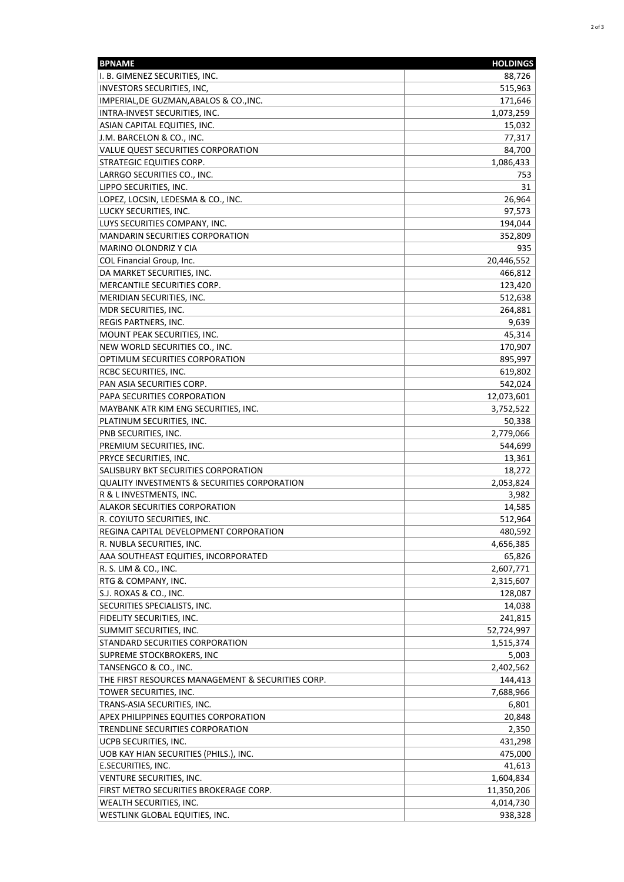| <b>BPNAME</b>                                     | <b>HOLDINGS</b> |
|---------------------------------------------------|-----------------|
| I. B. GIMENEZ SECURITIES, INC.                    | 88,726          |
| <b>INVESTORS SECURITIES, INC,</b>                 | 515,963         |
| IMPERIAL, DE GUZMAN, ABALOS & CO., INC.           | 171,646         |
| INTRA-INVEST SECURITIES, INC.                     | 1,073,259       |
| ASIAN CAPITAL EQUITIES, INC.                      | 15,032          |
| J.M. BARCELON & CO., INC.                         | 77,317          |
| VALUE QUEST SECURITIES CORPORATION                | 84,700          |
| <b>STRATEGIC EQUITIES CORP.</b>                   | 1,086,433       |
| LARRGO SECURITIES CO., INC.                       | 753             |
| LIPPO SECURITIES, INC.                            | 31              |
| LOPEZ, LOCSIN, LEDESMA & CO., INC.                | 26,964          |
| LUCKY SECURITIES, INC.                            | 97,573          |
| LUYS SECURITIES COMPANY, INC.                     | 194,044         |
| <b>MANDARIN SECURITIES CORPORATION</b>            | 352,809         |
| <b>MARINO OLONDRIZ Y CIA</b>                      | 935             |
| COL Financial Group, Inc.                         | 20,446,552      |
| DA MARKET SECURITIES, INC.                        | 466,812         |
| MERCANTILE SECURITIES CORP.                       | 123,420         |
| MERIDIAN SECURITIES, INC.                         | 512,638         |
| MDR SECURITIES, INC.                              | 264,881         |
| <b>REGIS PARTNERS, INC.</b>                       | 9,639           |
| MOUNT PEAK SECURITIES, INC.                       | 45,314          |
| NEW WORLD SECURITIES CO., INC.                    | 170,907         |
| OPTIMUM SECURITIES CORPORATION                    | 895,997         |
| RCBC SECURITIES, INC.                             | 619,802         |
| PAN ASIA SECURITIES CORP.                         | 542,024         |
| PAPA SECURITIES CORPORATION                       | 12,073,601      |
| MAYBANK ATR KIM ENG SECURITIES, INC.              | 3,752,522       |
| PLATINUM SECURITIES, INC.                         | 50,338          |
| PNB SECURITIES, INC.                              | 2,779,066       |
| PREMIUM SECURITIES, INC.                          | 544,699         |
| PRYCE SECURITIES, INC.                            | 13,361          |
| SALISBURY BKT SECURITIES CORPORATION              | 18,272          |
| QUALITY INVESTMENTS & SECURITIES CORPORATION      | 2,053,824       |
| R & L INVESTMENTS, INC.                           | 3,982           |
| <b>ALAKOR SECURITIES CORPORATION</b>              | 14,585          |
| R. COYIUTO SECURITIES, INC.                       | 512,964         |
| REGINA CAPITAL DEVELOPMENT CORPORATION            | 480,592         |
| R. NUBLA SECURITIES, INC.                         | 4,656,385       |
| AAA SOUTHEAST EQUITIES, INCORPORATED              | 65,826          |
| R. S. LIM & CO., INC.                             | 2,607,771       |
| RTG & COMPANY, INC.                               | 2,315,607       |
| S.J. ROXAS & CO., INC.                            | 128,087         |
| SECURITIES SPECIALISTS, INC.                      | 14,038          |
| FIDELITY SECURITIES, INC.                         | 241,815         |
| SUMMIT SECURITIES, INC.                           | 52,724,997      |
| STANDARD SECURITIES CORPORATION                   | 1,515,374       |
| SUPREME STOCKBROKERS, INC                         | 5,003           |
| TANSENGCO & CO., INC.                             | 2,402,562       |
| THE FIRST RESOURCES MANAGEMENT & SECURITIES CORP. | 144,413         |
| TOWER SECURITIES, INC.                            | 7,688,966       |
| TRANS-ASIA SECURITIES, INC.                       | 6,801           |
| APEX PHILIPPINES EQUITIES CORPORATION             | 20,848          |
| TRENDLINE SECURITIES CORPORATION                  | 2,350           |
| UCPB SECURITIES, INC.                             | 431,298         |
| UOB KAY HIAN SECURITIES (PHILS.), INC.            | 475,000         |
| E.SECURITIES, INC.                                | 41,613          |
| VENTURE SECURITIES, INC.                          | 1,604,834       |
| FIRST METRO SECURITIES BROKERAGE CORP.            | 11,350,206      |
| WEALTH SECURITIES, INC.                           | 4,014,730       |
| WESTLINK GLOBAL EQUITIES, INC.                    | 938,328         |